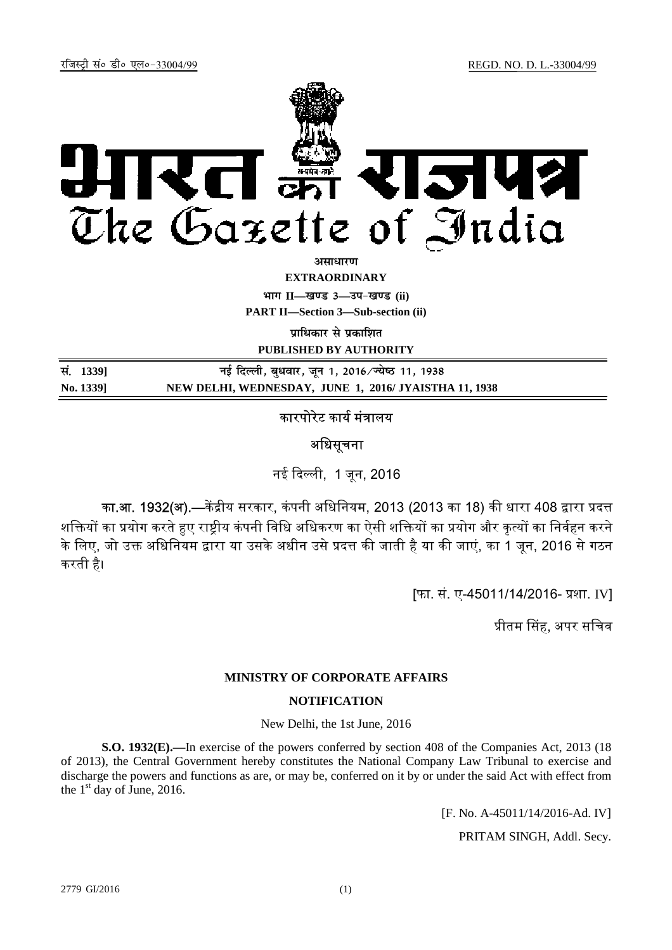

अ**साधार**ण

**EXTRAORDINARY**

**Hkkx II—[k.M 3—mi&[k.M (ii)**

**PART II—Section 3—Sub-section (ii)** 

**<u>uाधिकार से प्रकाशित</u>** 

**PUBLISHED BY AUTHORITY**

| सं. 1339] | नई दिल्ली, बुधवार, जून 1, 2016 ∕ ज्येष्ठ 11, 1938    |
|-----------|------------------------------------------------------|
| No. 1339] | NEW DELHI, WEDNESDAY, JUNE 1, 2016/JYAISTHA 11, 1938 |

# कारपोरेट कार्य मंत्रालय

### अधिसूचना

नई ᳰद᭨ली, 1 जून, 2016

का.<mark>आ. 1932(अ).</mark>—केंद्रीय सरकार, कंपनी अधिनियम, 2013 (2013 का 18) की धारा 408 द्वारा प्रदत्त शक्तियों का प्रयोग करते हए राष्टीय कंपनी विधि अधिकरण का ऐसी शक्तियों का प्रयोग और कत्यों का निर्वहन करने के लिए, जो उक्त अधिनियम द्वारा या उसके अधीन उसे प्रदत्त की जाती है या की जाएं, का 1 जून, 2016 से गठन करती है।

[फा. सं. ए-45011/14/2016- प्रशा. IV]

प्रीतम सिंह, अपर सचिव

#### **MINISTRY OF CORPORATE AFFAIRS**

### **NOTIFICATION**

New Delhi, the 1st June, 2016

**S.O. 1932(E).—**In exercise of the powers conferred by section 408 of the Companies Act, 2013 (18 of 2013), the Central Government hereby constitutes the National Company Law Tribunal to exercise and discharge the powers and functions as are, or may be, conferred on it by or under the said Act with effect from the  $1<sup>st</sup>$  day of June, 2016.

[F. No. A-45011/14/2016-Ad. IV]

PRITAM SINGH, Addl. Secy.